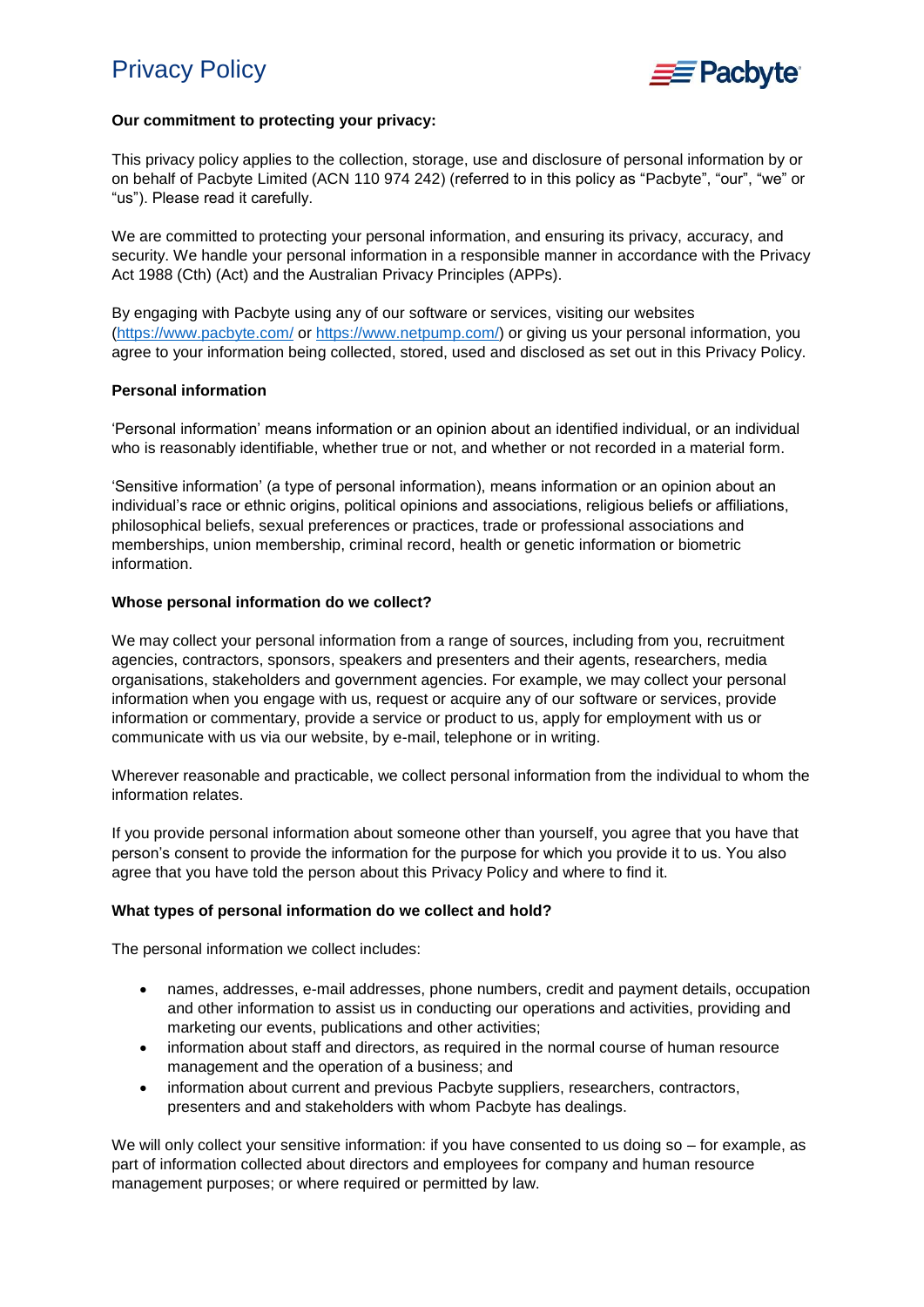

## **Our commitment to protecting your privacy:**

This privacy policy applies to the collection, storage, use and disclosure of personal information by or on behalf of Pacbyte Limited (ACN 110 974 242) (referred to in this policy as "Pacbyte", "our", "we" or "us"). Please read it carefully.

We are committed to protecting your personal information, and ensuring its privacy, accuracy, and security. We handle your personal information in a responsible manner in accordance with the Privacy Act 1988 (Cth) (Act) and the Australian Privacy Principles (APPs).

By engaging with Pacbyte using any of our software or services, visiting our websites [\(https://www.pacbyte.com/](https://www.pacbyte.com/) or [https://www.netpump.com/\)](https://www.netpump.com/) or giving us your personal information, you agree to your information being collected, stored, used and disclosed as set out in this Privacy Policy.

## **Personal information**

'Personal information' means information or an opinion about an identified individual, or an individual who is reasonably identifiable, whether true or not, and whether or not recorded in a material form.

'Sensitive information' (a type of personal information), means information or an opinion about an individual's race or ethnic origins, political opinions and associations, religious beliefs or affiliations, philosophical beliefs, sexual preferences or practices, trade or professional associations and memberships, union membership, criminal record, health or genetic information or biometric information.

## **Whose personal information do we collect?**

We may collect your personal information from a range of sources, including from you, recruitment agencies, contractors, sponsors, speakers and presenters and their agents, researchers, media organisations, stakeholders and government agencies. For example, we may collect your personal information when you engage with us, request or acquire any of our software or services, provide information or commentary, provide a service or product to us, apply for employment with us or communicate with us via our website, by e-mail, telephone or in writing.

Wherever reasonable and practicable, we collect personal information from the individual to whom the information relates.

If you provide personal information about someone other than yourself, you agree that you have that person's consent to provide the information for the purpose for which you provide it to us. You also agree that you have told the person about this Privacy Policy and where to find it.

# **What types of personal information do we collect and hold?**

The personal information we collect includes:

- names, addresses, e-mail addresses, phone numbers, credit and payment details, occupation and other information to assist us in conducting our operations and activities, providing and marketing our events, publications and other activities;
- information about staff and directors, as required in the normal course of human resource management and the operation of a business; and
- information about current and previous Pacbyte suppliers, researchers, contractors, presenters and and stakeholders with whom Pacbyte has dealings.

We will only collect your sensitive information: if you have consented to us doing so – for example, as part of information collected about directors and employees for company and human resource management purposes; or where required or permitted by law.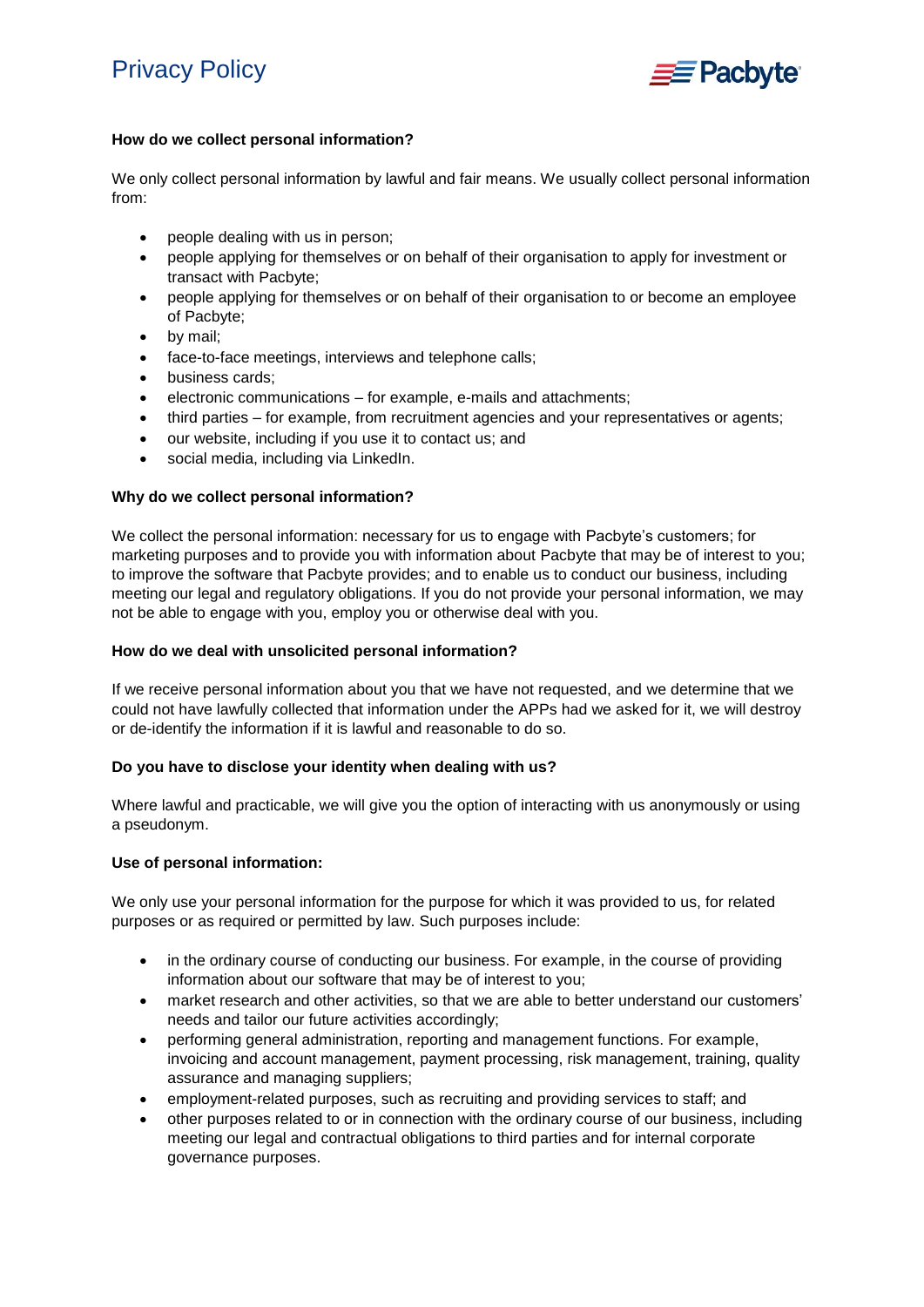

# **How do we collect personal information?**

We only collect personal information by lawful and fair means. We usually collect personal information from:

- people dealing with us in person;
- people applying for themselves or on behalf of their organisation to apply for investment or transact with Pacbyte;
- people applying for themselves or on behalf of their organisation to or become an employee of Pacbyte;
- by mail;
- face-to-face meetings, interviews and telephone calls;
- **•** business cards;
- electronic communications for example, e-mails and attachments;
- third parties for example, from recruitment agencies and your representatives or agents;
- our website, including if you use it to contact us; and
- social media, including via LinkedIn.

# **Why do we collect personal information?**

We collect the personal information: necessary for us to engage with Pacbyte's customers; for marketing purposes and to provide you with information about Pacbyte that may be of interest to you; to improve the software that Pacbyte provides; and to enable us to conduct our business, including meeting our legal and regulatory obligations. If you do not provide your personal information, we may not be able to engage with you, employ you or otherwise deal with you.

## **How do we deal with unsolicited personal information?**

If we receive personal information about you that we have not requested, and we determine that we could not have lawfully collected that information under the APPs had we asked for it, we will destroy or de-identify the information if it is lawful and reasonable to do so.

# **Do you have to disclose your identity when dealing with us?**

Where lawful and practicable, we will give you the option of interacting with us anonymously or using a pseudonym.

# **Use of personal information:**

We only use your personal information for the purpose for which it was provided to us, for related purposes or as required or permitted by law. Such purposes include:

- in the ordinary course of conducting our business. For example, in the course of providing information about our software that may be of interest to you;
- market research and other activities, so that we are able to better understand our customers' needs and tailor our future activities accordingly;
- performing general administration, reporting and management functions. For example, invoicing and account management, payment processing, risk management, training, quality assurance and managing suppliers;
- employment-related purposes, such as recruiting and providing services to staff; and
- other purposes related to or in connection with the ordinary course of our business, including meeting our legal and contractual obligations to third parties and for internal corporate governance purposes.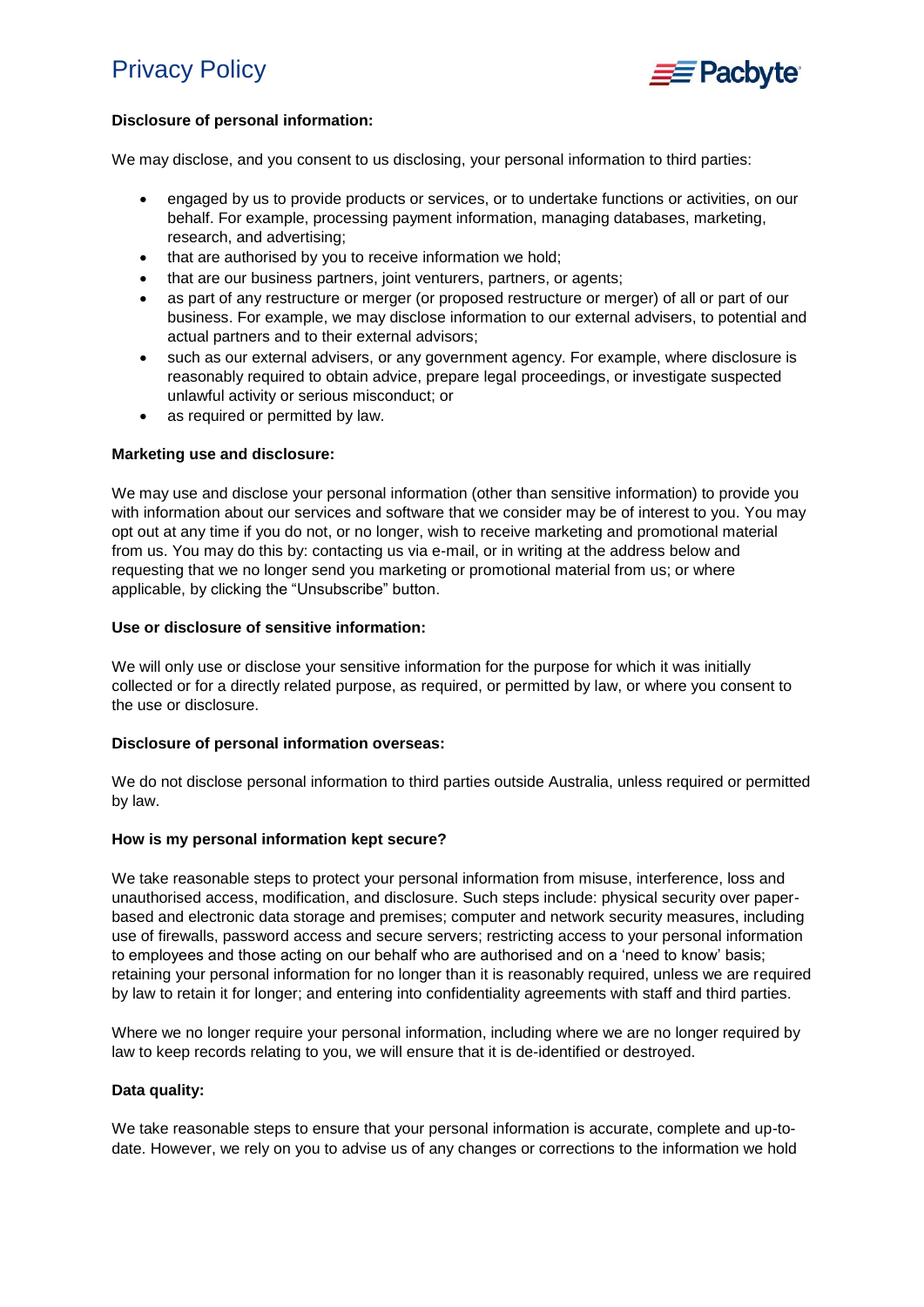

# **Disclosure of personal information:**

We may disclose, and you consent to us disclosing, your personal information to third parties:

- engaged by us to provide products or services, or to undertake functions or activities, on our behalf. For example, processing payment information, managing databases, marketing, research, and advertising;
- that are authorised by you to receive information we hold;
- that are our business partners, joint venturers, partners, or agents;
- as part of any restructure or merger (or proposed restructure or merger) of all or part of our business. For example, we may disclose information to our external advisers, to potential and actual partners and to their external advisors;
- such as our external advisers, or any government agency. For example, where disclosure is reasonably required to obtain advice, prepare legal proceedings, or investigate suspected unlawful activity or serious misconduct; or
- as required or permitted by law.

## **Marketing use and disclosure:**

We may use and disclose your personal information (other than sensitive information) to provide you with information about our services and software that we consider may be of interest to you. You may opt out at any time if you do not, or no longer, wish to receive marketing and promotional material from us. You may do this by: contacting us via e-mail, or in writing at the address below and requesting that we no longer send you marketing or promotional material from us; or where applicable, by clicking the "Unsubscribe" button.

#### **Use or disclosure of sensitive information:**

We will only use or disclose your sensitive information for the purpose for which it was initially collected or for a directly related purpose, as required, or permitted by law, or where you consent to the use or disclosure.

#### **Disclosure of personal information overseas:**

We do not disclose personal information to third parties outside Australia, unless required or permitted by law.

#### **How is my personal information kept secure?**

We take reasonable steps to protect your personal information from misuse, interference, loss and unauthorised access, modification, and disclosure. Such steps include: physical security over paperbased and electronic data storage and premises; computer and network security measures, including use of firewalls, password access and secure servers; restricting access to your personal information to employees and those acting on our behalf who are authorised and on a 'need to know' basis; retaining your personal information for no longer than it is reasonably required, unless we are required by law to retain it for longer; and entering into confidentiality agreements with staff and third parties.

Where we no longer require your personal information, including where we are no longer required by law to keep records relating to you, we will ensure that it is de-identified or destroyed.

#### **Data quality:**

We take reasonable steps to ensure that your personal information is accurate, complete and up-todate. However, we rely on you to advise us of any changes or corrections to the information we hold